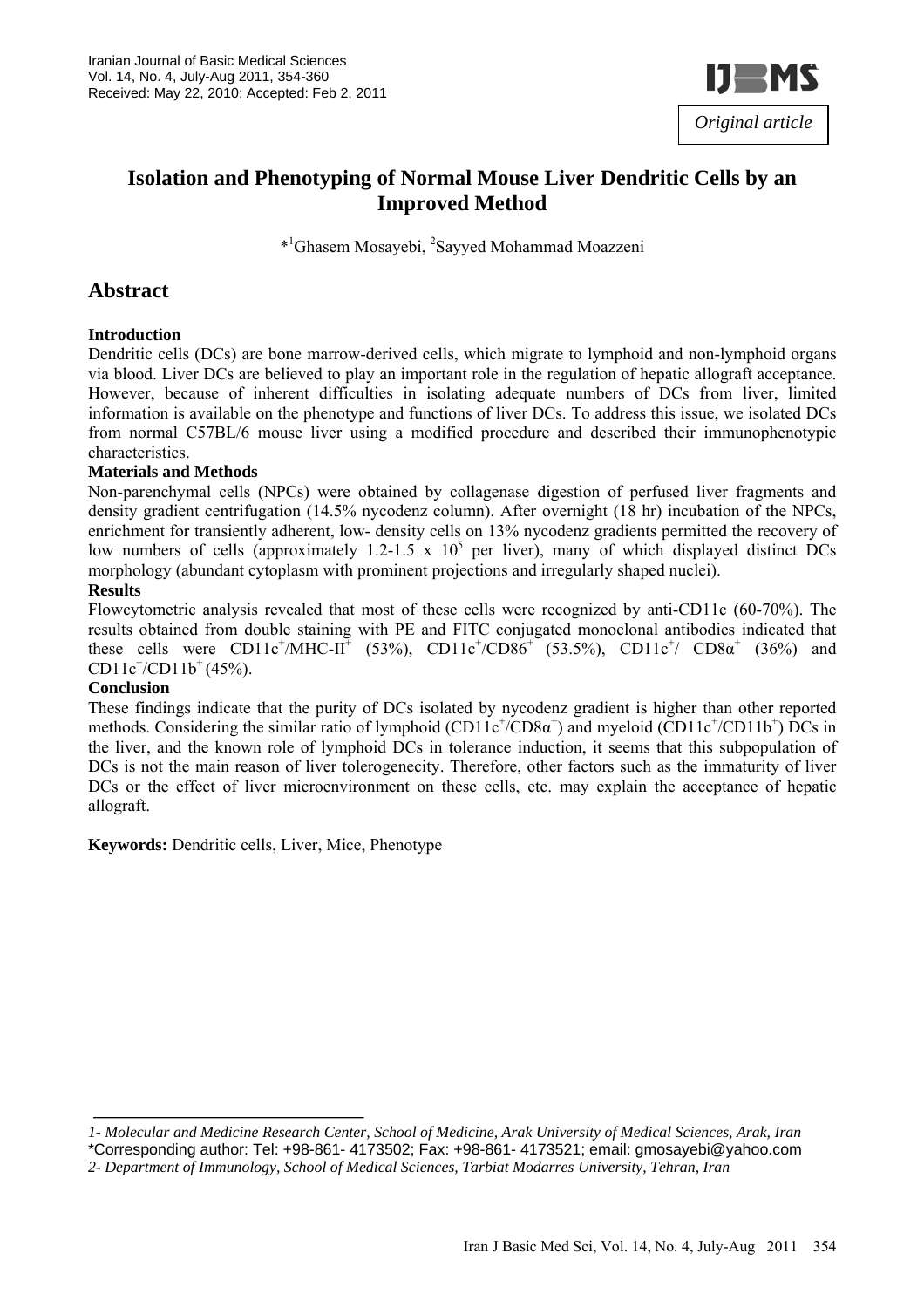

# **Isolation and Phenotyping of Normal Mouse Liver Dendritic Cells by an Improved Method**

\*<sup>1</sup>Ghasem Mosayebi, <sup>2</sup>Sayyed Mohammad Moazzeni

### **Abstract**

#### **Introduction**

Dendritic cells (DCs) are bone marrow-derived cells, which migrate to lymphoid and non-lymphoid organs via blood. Liver DCs are believed to play an important role in the regulation of hepatic allograft acceptance. However, because of inherent difficulties in isolating adequate numbers of DCs from liver, limited information is available on the phenotype and functions of liver DCs. To address this issue, we isolated DCs from normal C57BL/6 mouse liver using a modified procedure and described their immunophenotypic characteristics.

#### **Materials and Methods**

Non-parenchymal cells (NPCs) were obtained by collagenase digestion of perfused liver fragments and density gradient centrifugation (14.5% nycodenz column). After overnight (18 hr) incubation of the NPCs, enrichment for transiently adherent, low- density cells on 13% nycodenz gradients permitted the recovery of low numbers of cells (approximately 1.2-1.5 x  $10^5$  per liver), many of which displayed distinct DCs morphology (abundant cytoplasm with prominent projections and irregularly shaped nuclei).

#### **Results**

Flowcytometric analysis revealed that most of these cells were recognized by anti-CD11c (60-70%). The results obtained from double staining with PE and FITC conjugated monoclonal antibodies indicated that these cells were CD11c<sup>+</sup>/MHC-II<sup>+</sup> (53%), CD11c<sup>+</sup>/CD86<sup>+</sup> (53.5%), CD11c<sup>+</sup>/ CD8 $\alpha^+$  (36%) and  $CD11c^{\dagger}/CD11b^{\dagger}(45\%).$ 

#### **Conclusion**

These findings indicate that the purity of DCs isolated by nycodenz gradient is higher than other reported methods. Considering the similar ratio of lymphoid (CD11c<sup>+</sup>/CD8 $\alpha$ <sup>+</sup>) and myeloid (CD11c<sup>+</sup>/CD11b<sup>+</sup>) DCs in the liver, and the known role of lymphoid DCs in tolerance induction, it seems that this subpopulation of DCs is not the main reason of liver tolerogenecity. Therefore, other factors such as the immaturity of liver DCs or the effect of liver microenvironment on these cells, etc. may explain the acceptance of hepatic allograft.

**Keywords:** Dendritic cells, Liver, Mice, Phenotype

*<sup>1-</sup> Molecular and Medicine Research Center, School of Medicine, Arak University of Medical Sciences, Arak, Iran*  \*Corresponding author: Tel: +98-861- 4173502; Fax: +98-861- 4173521; email: gmosayebi@yahoo.com

*<sup>2-</sup> Department of Immunology, School of Medical Sciences, Tarbiat Modarres University, Tehran, Iran*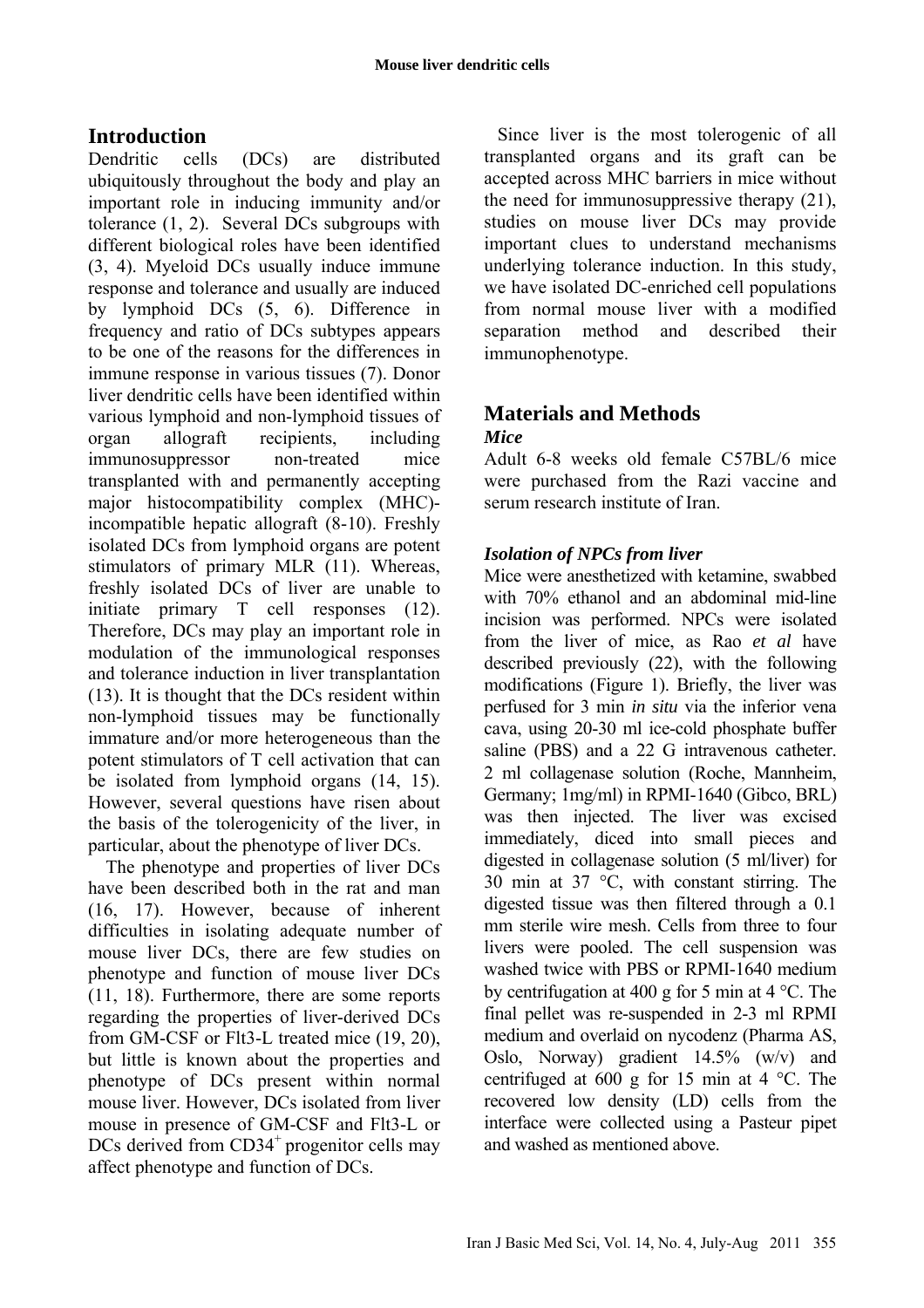# **Introduction**

Dendritic cells (DCs) are distributed ubiquitously throughout the body and play an important role in inducing immunity and/or tolerance (1, 2). Several DCs subgroups with different biological roles have been identified (3, 4). Myeloid DCs usually induce immune response and tolerance and usually are induced by lymphoid DCs (5, 6). Difference in frequency and ratio of DCs subtypes appears to be one of the reasons for the differences in immune response in various tissues (7). Donor liver dendritic cells have been identified within various lymphoid and non-lymphoid tissues of organ allograft recipients, including immunosuppressor non-treated mice transplanted with and permanently accepting major histocompatibility complex (MHC) incompatible hepatic allograft (8-10). Freshly isolated DCs from lymphoid organs are potent stimulators of primary MLR (11). Whereas, freshly isolated DCs of liver are unable to initiate primary T cell responses (12). Therefore, DCs may play an important role in modulation of the immunological responses and tolerance induction in liver transplantation (13). It is thought that the DCs resident within non-lymphoid tissues may be functionally immature and/or more heterogeneous than the potent stimulators of T cell activation that can be isolated from lymphoid organs (14, 15). However, several questions have risen about the basis of the tolerogenicity of the liver, in particular, about the phenotype of liver DCs.

The phenotype and properties of liver DCs have been described both in the rat and man (16, 17). However, because of inherent difficulties in isolating adequate number of mouse liver DCs, there are few studies on phenotype and function of mouse liver DCs (11, 18). Furthermore, there are some reports regarding the properties of liver-derived DCs from GM-CSF or Flt3-L treated mice (19, 20), but little is known about the properties and phenotype of DCs present within normal mouse liver. However, DCs isolated from liver mouse in presence of GM-CSF and Flt3-L or DCs derived from  $CD34<sup>+</sup>$  progenitor cells may affect phenotype and function of DCs.

Since liver is the most tolerogenic of all transplanted organs and its graft can be accepted across MHC barriers in mice without the need for immunosuppressive therapy (21), studies on mouse liver DCs may provide important clues to understand mechanisms underlying tolerance induction. In this study, we have isolated DC-enriched cell populations from normal mouse liver with a modified separation method and described their immunophenotype.

# **Materials and Methods**  *Mice*

Adult 6-8 weeks old female C57BL/6 mice were purchased from the Razi vaccine and serum research institute of Iran.

### *Isolation of NPCs from liver*

Mice were anesthetized with ketamine, swabbed with 70% ethanol and an abdominal mid-line incision was performed. NPCs were isolated from the liver of mice, as Rao *et al* have described previously (22), with the following modifications (Figure 1). Briefly, the liver was perfused for 3 min *in situ* via the inferior vena cava, using 20-30 ml ice-cold phosphate buffer saline (PBS) and a 22 G intravenous catheter. 2 ml collagenase solution (Roche, Mannheim, Germany; 1mg/ml) in RPMI-1640 (Gibco, BRL) was then injected. The liver was excised immediately, diced into small pieces and digested in collagenase solution (5 ml/liver) for 30 min at 37 °C, with constant stirring. The digested tissue was then filtered through a 0.1 mm sterile wire mesh. Cells from three to four livers were pooled. The cell suspension was washed twice with PBS or RPMI-1640 medium by centrifugation at 400 g for 5 min at 4 °C. The final pellet was re-suspended in 2-3 ml RPMI medium and overlaid on nycodenz (Pharma AS, Oslo, Norway) gradient 14.5% (w/v) and centrifuged at 600 g for 15 min at 4 °C. The recovered low density (LD) cells from the interface were collected using a Pasteur pipet and washed as mentioned above.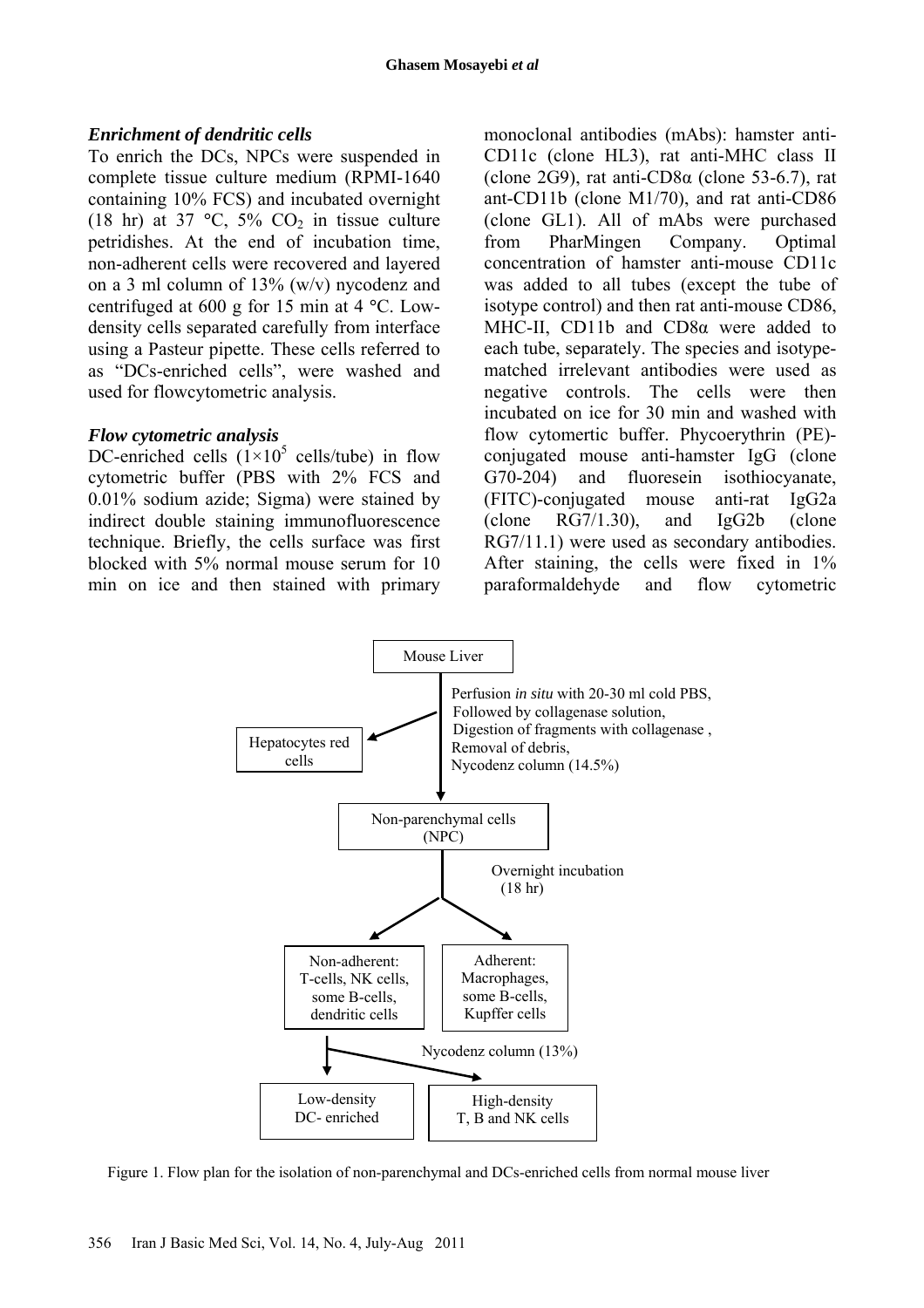#### *Enrichment of dendritic cells*

To enrich the DCs, NPCs were suspended in complete tissue culture medium (RPMI-1640 containing 10% FCS) and incubated overnight (18 hr) at 37  $\degree$ C, 5% CO<sub>2</sub> in tissue culture petridishes. At the end of incubation time, non-adherent cells were recovered and layered on a 3 ml column of 13% (w/v) nycodenz and centrifuged at 600 g for 15 min at 4 **°**C. Lowdensity cells separated carefully from interface using a Pasteur pipette. These cells referred to as "DCs-enriched cells", were washed and used for flowcytometric analysis.

#### *Flow cytometric analysis*

DC-enriched cells  $(1\times10^5 \text{ cells/tube})$  in flow cytometric buffer (PBS with 2% FCS and 0.01% sodium azide; Sigma) were stained by indirect double staining immunofluorescence technique. Briefly, the cells surface was first blocked with 5% normal mouse serum for 10 min on ice and then stained with primary

monoclonal antibodies (mAbs): hamster anti-CD11c (clone HL3), rat anti-MHC class II (clone 2G9), rat anti-CD8 $\alpha$  (clone 53-6.7), rat ant-CD11b (clone M1/70), and rat anti-CD86 (clone GL1). All of mAbs were purchased from PharMingen Company. Optimal concentration of hamster anti-mouse CD11c was added to all tubes (except the tube of isotype control) and then rat anti-mouse CD86, MHC-II, CD11b and CD8α were added to each tube, separately. The species and isotypematched irrelevant antibodies were used as negative controls. The cells were then incubated on ice for 30 min and washed with flow cytomertic buffer. Phycoerythrin (PE) conjugated mouse anti-hamster IgG (clone G70-204) and fluoresein isothiocyanate, (FITC)-conjugated mouse anti-rat IgG2a (clone RG7/1.30), and IgG2b (clone RG7/11.1) were used as secondary antibodies. After staining, the cells were fixed in 1% paraformaldehyde and flow cytometric



Figure 1. Flow plan for the isolation of non-parenchymal and DCs-enriched cells from normal mouse liver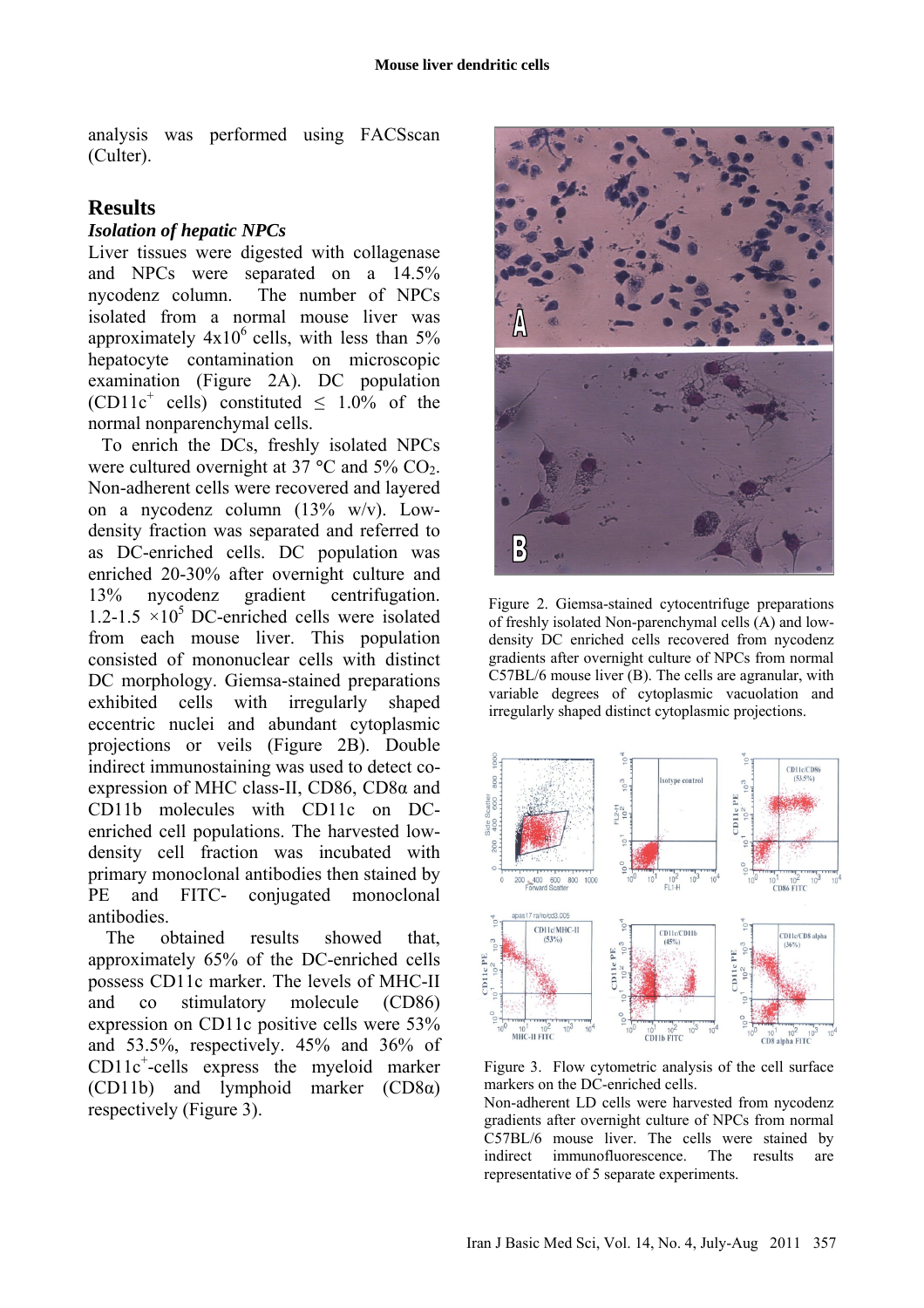analysis was performed using FACSscan (Culter).

### **Results**

### *Isolation of hepatic NPCs*

Liver tissues were digested with collagenase and NPCs were separated on a 14.5% nycodenz column. The number of NPCs isolated from a normal mouse liver was approximately  $4x10^6$  cells, with less than 5% hepatocyte contamination on microscopic examination (Figure 2A). DC population (CD11c<sup>+</sup> cells) constituted  $\leq 1.0\%$  of the normal nonparenchymal cells.

To enrich the DCs, freshly isolated NPCs were cultured overnight at 37 °C and 5% CO<sub>2</sub>. Non-adherent cells were recovered and layered on a nycodenz column (13% w/v). Lowdensity fraction was separated and referred to as DC-enriched cells. DC population was enriched 20-30% after overnight culture and 13% nycodenz gradient centrifugation. 1.2-1.5  $\times$ 10<sup>5</sup> DC-enriched cells were isolated from each mouse liver. This population consisted of mononuclear cells with distinct DC morphology. Giemsa-stained preparations exhibited cells with irregularly shaped eccentric nuclei and abundant cytoplasmic projections or veils (Figure 2B). Double indirect immunostaining was used to detect coexpression of MHC class-II, CD86, CD8α and CD11b molecules with CD11c on DCenriched cell populations. The harvested lowdensity cell fraction was incubated with primary monoclonal antibodies then stained by PE and FITC- conjugated monoclonal antibodies.

The obtained results showed that, approximately 65% of the DC-enriched cells possess CD11c marker. The levels of MHC-II and co stimulatory molecule (CD86) expression on CD11c positive cells were 53% and 53.5%, respectively. 45% and 36% of CD11c<sup>+</sup> -cells express the myeloid marker (CD11b) and lymphoid marker (CD8α) respectively (Figure 3).



Figure 2. Giemsa-stained cytocentrifuge preparations of freshly isolated Non-parenchymal cells (A) and lowdensity DC enriched cells recovered from nycodenz gradients after overnight culture of NPCs from normal C57BL/6 mouse liver (B). The cells are agranular, with variable degrees of cytoplasmic vacuolation and irregularly shaped distinct cytoplasmic projections.



Figure 3. Flow cytometric analysis of the cell surface markers on the DC-enriched cells.

Non-adherent LD cells were harvested from nycodenz gradients after overnight culture of NPCs from normal C57BL/6 mouse liver. The cells were stained by indirect immunofluorescence. The results are representative of 5 separate experiments.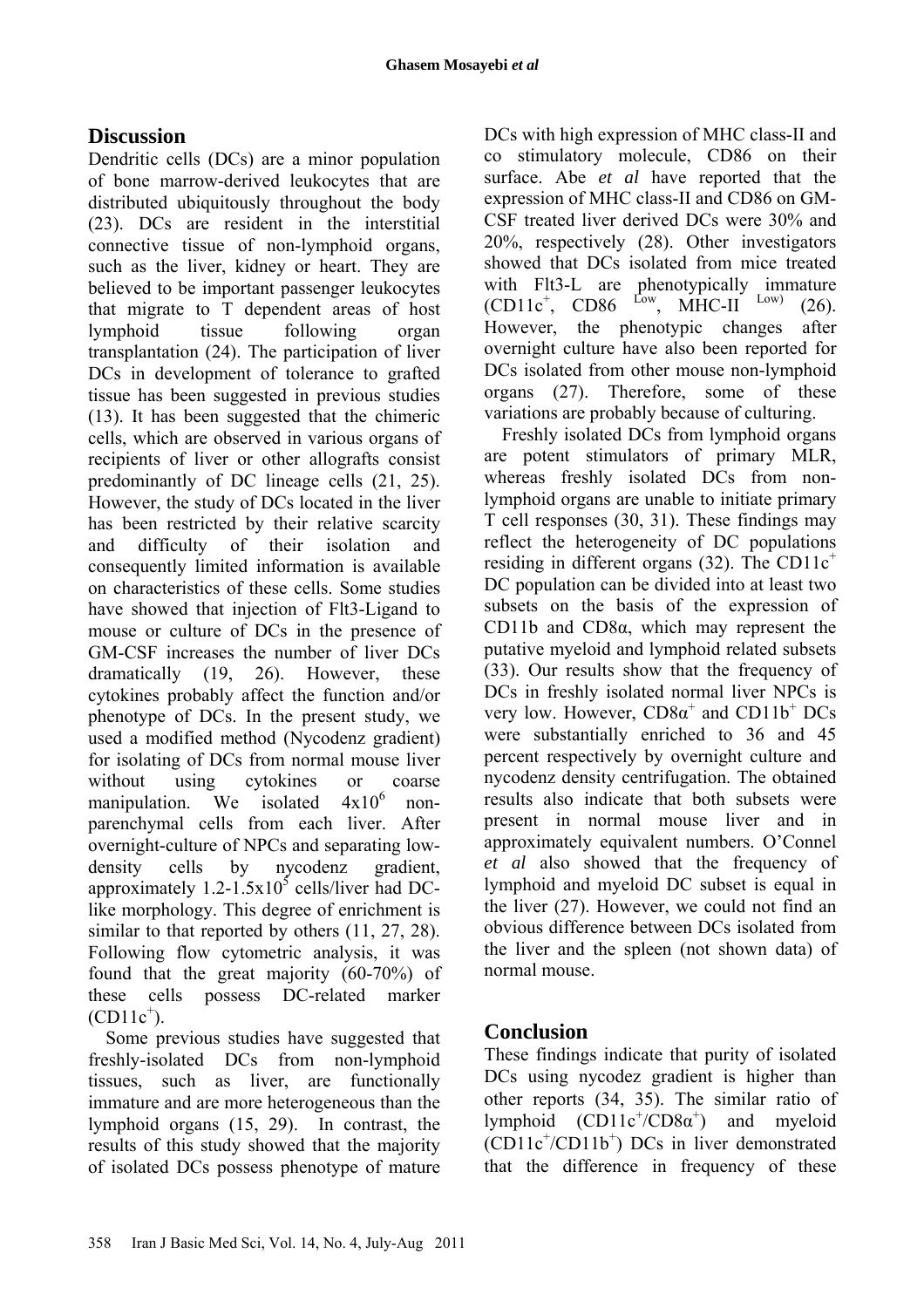# **Discussion**

Dendritic cells (DCs) are a minor population of bone marrow-derived leukocytes that are distributed ubiquitously throughout the body (23). DCs are resident in the interstitial connective tissue of non-lymphoid organs, such as the liver, kidney or heart. They are believed to be important passenger leukocytes that migrate to T dependent areas of host lymphoid tissue following organ transplantation (24). The participation of liver DCs in development of tolerance to grafted tissue has been suggested in previous studies (13). It has been suggested that the chimeric cells, which are observed in various organs of recipients of liver or other allografts consist predominantly of DC lineage cells (21, 25). However, the study of DCs located in the liver has been restricted by their relative scarcity and difficulty of their isolation and consequently limited information is available on characteristics of these cells. Some studies have showed that injection of Flt3-Ligand to mouse or culture of DCs in the presence of GM-CSF increases the number of liver DCs dramatically (19, 26). However, these cytokines probably affect the function and/or phenotype of DCs. In the present study, we used a modified method (Nycodenz gradient) for isolating of DCs from normal mouse liver without using cytokines or coarse manipulation. We isolated  $4x10^6$  nonparenchymal cells from each liver. After overnight-culture of NPCs and separating lowdensity cells by nycodenz gradient, approximately 1.2-1.5 $x10^5$  cells/liver had DClike morphology. This degree of enrichment is similar to that reported by others  $(11, 27, 28)$ . Following flow cytometric analysis, it was found that the great majority (60-70%) of these cells possess DC-related marker  $(CD11c^+).$ 

Some previous studies have suggested that freshly-isolated DCs from non-lymphoid tissues, such as liver, are functionally immature and are more heterogeneous than the lymphoid organs (15, 29). In contrast, the results of this study showed that the majority of isolated DCs possess phenotype of mature DCs with high expression of MHC class-II and co stimulatory molecule, CD86 on their surface. Abe *et al* have reported that the expression of MHC class-II and CD86 on GM-CSF treated liver derived DCs were 30% and 20%, respectively (28). Other investigators showed that DCs isolated from mice treated with Flt3-L are phenotypically immature  $(CD11c^+$ ,  $CD86$  $L_{\text{ow}}$ , MHC-II  $L_{\text{ow}}$  (26). However, the phenotypic changes after overnight culture have also been reported for DCs isolated from other mouse non-lymphoid organs (27). Therefore, some of these variations are probably because of culturing.

Freshly isolated DCs from lymphoid organs are potent stimulators of primary MLR, whereas freshly isolated DCs from nonlymphoid organs are unable to initiate primary T cell responses (30, 31). These findings may reflect the heterogeneity of DC populations residing in different organs  $(32)$ . The CD11 $c^+$ DC population can be divided into at least two subsets on the basis of the expression of CD11b and CD8α, which may represent the putative myeloid and lymphoid related subsets (33). Our results show that the frequency of DCs in freshly isolated normal liver NPCs is very low. However,  $CD8\alpha^+$  and  $CD11b^+$  DCs were substantially enriched to 36 and 45 percent respectively by overnight culture and nycodenz density centrifugation. The obtained results also indicate that both subsets were present in normal mouse liver and in approximately equivalent numbers. O'Connel *et al* also showed that the frequency of lymphoid and myeloid DC subset is equal in the liver (27). However, we could not find an obvious difference between DCs isolated from the liver and the spleen (not shown data) of normal mouse.

# **Conclusion**

These findings indicate that purity of isolated DCs using nycodez gradient is higher than other reports (34, 35). The similar ratio of lymphoid  $(CD11c^+/CD8\alpha^+)$  and myeloid (CD11c<sup>+</sup> /CD11b+ ) DCs in liver demonstrated that the difference in frequency of these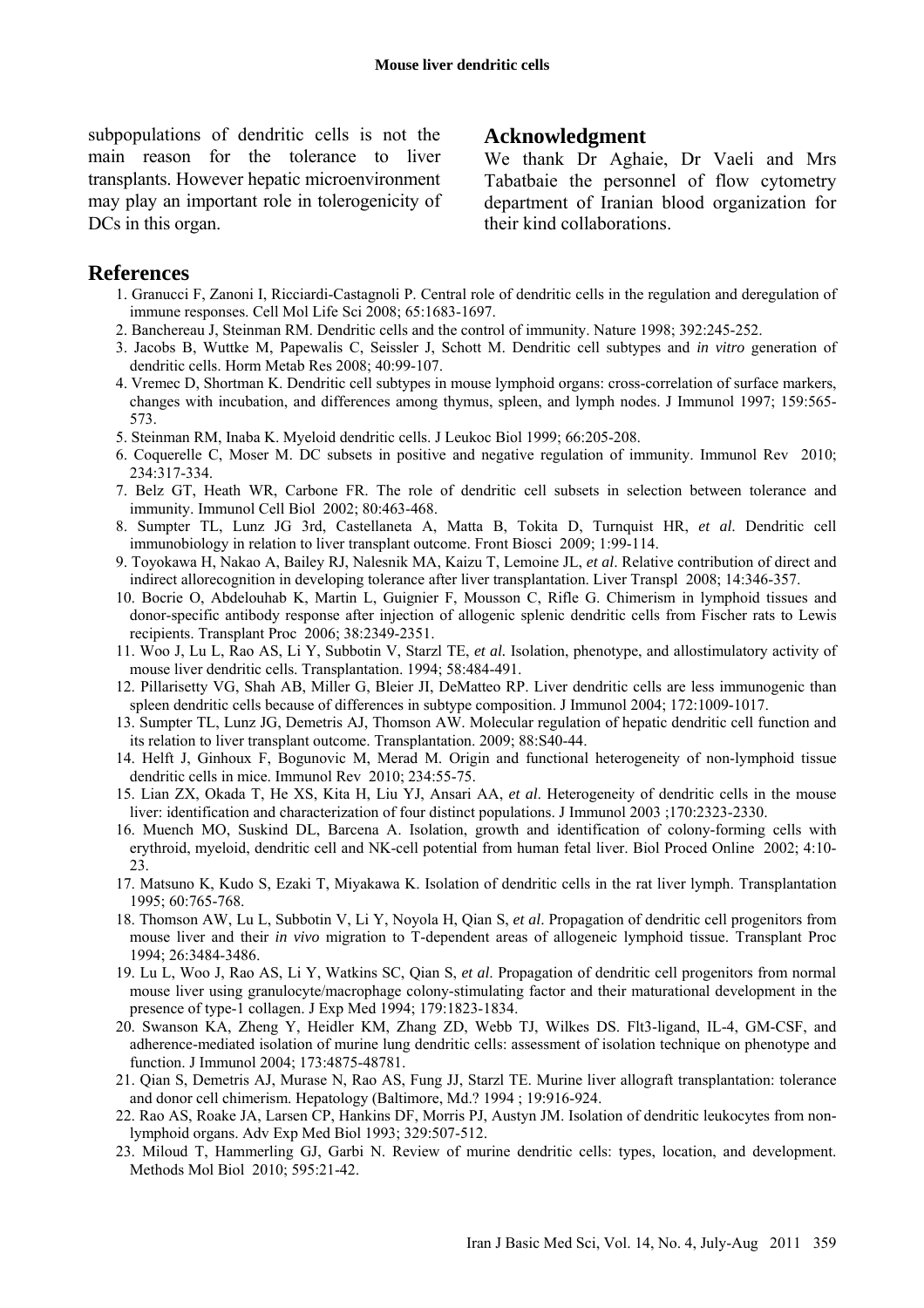subpopulations of dendritic cells is not the main reason for the tolerance to liver transplants. However hepatic microenvironment may play an important role in tolerogenicity of DCs in this organ.

### **Acknowledgment**

We thank Dr Aghaie, Dr Vaeli and Mrs Tabatbaie the personnel of flow cytometry department of Iranian blood organization for their kind collaborations.

#### **References**

- 1. Granucci F, Zanoni I, Ricciardi-Castagnoli P. Central role of dendritic cells in the regulation and deregulation of immune responses. Cell Mol Life Sci 2008; 65:1683-1697.
- 2. Banchereau J, Steinman RM. Dendritic cells and the control of immunity. Nature 1998; 392:245-252.
- 3. Jacobs B, Wuttke M, Papewalis C, Seissler J, Schott M. Dendritic cell subtypes and *in vitro* generation of dendritic cells. Horm Metab Res 2008; 40:99-107.
- 4. Vremec D, Shortman K. Dendritic cell subtypes in mouse lymphoid organs: cross-correlation of surface markers, changes with incubation, and differences among thymus, spleen, and lymph nodes. J Immunol 1997; 159:565- 573.
- 5. Steinman RM, Inaba K. Myeloid dendritic cells. J Leukoc Biol 1999; 66:205-208.
- 6. Coquerelle C, Moser M. DC subsets in positive and negative regulation of immunity. Immunol Rev 2010; 234:317-334.
- 7. Belz GT, Heath WR, Carbone FR. The role of dendritic cell subsets in selection between tolerance and immunity. Immunol Cell Biol 2002; 80:463-468.
- 8. Sumpter TL, Lunz JG 3rd, Castellaneta A, Matta B, Tokita D, Turnquist HR, *et al*. Dendritic cell immunobiology in relation to liver transplant outcome. Front Biosci 2009; 1:99-114.
- 9. Toyokawa H, Nakao A, Bailey RJ, Nalesnik MA, Kaizu T, Lemoine JL, *et al*. Relative contribution of direct and indirect allorecognition in developing tolerance after liver transplantation. Liver Transpl 2008; 14:346-357.
- 10. Bocrie O, Abdelouhab K, Martin L, Guignier F, Mousson C, Rifle G. Chimerism in lymphoid tissues and donor-specific antibody response after injection of allogenic splenic dendritic cells from Fischer rats to Lewis recipients. Transplant Proc 2006; 38:2349-2351.
- 11. Woo J, Lu L, Rao AS, Li Y, Subbotin V, Starzl TE, *et al.* Isolation, phenotype, and allostimulatory activity of mouse liver dendritic cells. Transplantation. 1994; 58:484-491.
- 12. Pillarisetty VG, Shah AB, Miller G, Bleier JI, DeMatteo RP. Liver dendritic cells are less immunogenic than spleen dendritic cells because of differences in subtype composition. J Immunol 2004; 172:1009-1017.
- 13. Sumpter TL, Lunz JG, Demetris AJ, Thomson AW. Molecular regulation of hepatic dendritic cell function and its relation to liver transplant outcome. Transplantation. 2009; 88:S40-44.
- 14. Helft J, Ginhoux F, Bogunovic M, Merad M. Origin and functional heterogeneity of non-lymphoid tissue dendritic cells in mice. Immunol Rev 2010; 234:55-75.
- 15. Lian ZX, Okada T, He XS, Kita H, Liu YJ, Ansari AA, *et al*. Heterogeneity of dendritic cells in the mouse liver: identification and characterization of four distinct populations. J Immunol 2003 ;170:2323-2330.
- 16. Muench MO, Suskind DL, Barcena A. Isolation, growth and identification of colony-forming cells with erythroid, myeloid, dendritic cell and NK-cell potential from human fetal liver. Biol Proced Online 2002; 4:10- 23.
- 17. Matsuno K, Kudo S, Ezaki T, Miyakawa K. Isolation of dendritic cells in the rat liver lymph. Transplantation 1995; 60:765-768.
- 18. Thomson AW, Lu L, Subbotin V, Li Y, Noyola H, Qian S, *et al*. Propagation of dendritic cell progenitors from mouse liver and their *in vivo* migration to T-dependent areas of allogeneic lymphoid tissue. Transplant Proc 1994; 26:3484-3486.
- 19. Lu L, Woo J, Rao AS, Li Y, Watkins SC, Qian S, *et al*. Propagation of dendritic cell progenitors from normal mouse liver using granulocyte/macrophage colony-stimulating factor and their maturational development in the presence of type-1 collagen. J Exp Med 1994; 179:1823-1834.
- 20. Swanson KA, Zheng Y, Heidler KM, Zhang ZD, Webb TJ, Wilkes DS. Flt3-ligand, IL-4, GM-CSF, and adherence-mediated isolation of murine lung dendritic cells: assessment of isolation technique on phenotype and function. J Immunol 2004; 173:4875-48781.
- 21. Qian S, Demetris AJ, Murase N, Rao AS, Fung JJ, Starzl TE. Murine liver allograft transplantation: tolerance and donor cell chimerism. Hepatology (Baltimore, Md.? 1994 ; 19:916-924.
- 22. Rao AS, Roake JA, Larsen CP, Hankins DF, Morris PJ, Austyn JM. Isolation of dendritic leukocytes from nonlymphoid organs. Adv Exp Med Biol 1993; 329:507-512.
- 23. Miloud T, Hammerling GJ, Garbi N. Review of murine dendritic cells: types, location, and development. Methods Mol Biol 2010; 595:21-42.